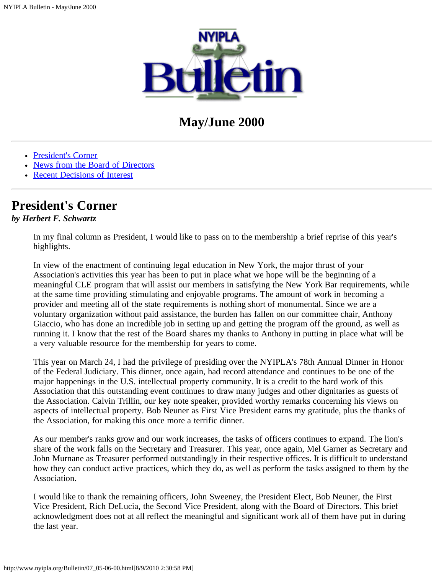

# **May/June 2000**

- [President's Corner](#page-0-0)
- [News from the Board of Directors](#page-1-0)
- [Recent Decisions of Interest](#page-2-0)

## <span id="page-0-0"></span>**President's Corner**

### *by Herbert F. Schwartz*

In my final column as President, I would like to pass on to the membership a brief reprise of this year's highlights.

In view of the enactment of continuing legal education in New York, the major thrust of your Association's activities this year has been to put in place what we hope will be the beginning of a meaningful CLE program that will assist our members in satisfying the New York Bar requirements, while at the same time providing stimulating and enjoyable programs. The amount of work in becoming a provider and meeting all of the state requirements is nothing short of monumental. Since we are a voluntary organization without paid assistance, the burden has fallen on our committee chair, Anthony Giaccio, who has done an incredible job in setting up and getting the program off the ground, as well as running it. I know that the rest of the Board shares my thanks to Anthony in putting in place what will be a very valuable resource for the membership for years to come.

This year on March 24, I had the privilege of presiding over the NYIPLA's 78th Annual Dinner in Honor of the Federal Judiciary. This dinner, once again, had record attendance and continues to be one of the major happenings in the U.S. intellectual property community. It is a credit to the hard work of this Association that this outstanding event continues to draw many judges and other dignitaries as guests of the Association. Calvin Trillin, our key note speaker, provided worthy remarks concerning his views on aspects of intellectual property. Bob Neuner as First Vice President earns my gratitude, plus the thanks of the Association, for making this once more a terrific dinner.

As our member's ranks grow and our work increases, the tasks of officers continues to expand. The lion's share of the work falls on the Secretary and Treasurer. This year, once again, Mel Garner as Secretary and John Murnane as Treasurer performed outstandingly in their respective offices. It is difficult to understand how they can conduct active practices, which they do, as well as perform the tasks assigned to them by the Association.

I would like to thank the remaining officers, John Sweeney, the President Elect, Bob Neuner, the First Vice President, Rich DeLucia, the Second Vice President, along with the Board of Directors. This brief acknowledgment does not at all reflect the meaningful and significant work all of them have put in during the last year.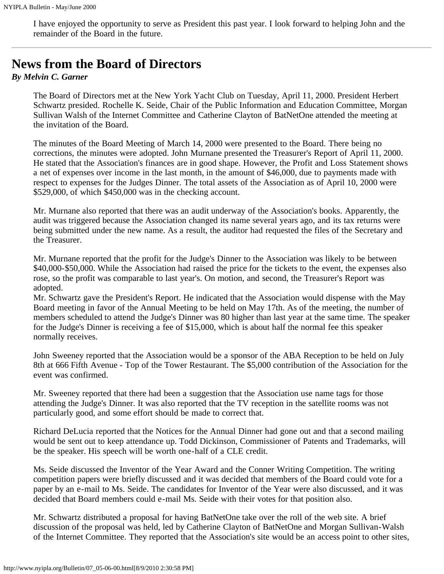I have enjoyed the opportunity to serve as President this past year. I look forward to helping John and the remainder of the Board in the future.

## <span id="page-1-0"></span>**News from the Board of Directors**

#### *By Melvin C. Garner*

The Board of Directors met at the New York Yacht Club on Tuesday, April 11, 2000. President Herbert Schwartz presided. Rochelle K. Seide, Chair of the Public Information and Education Committee, Morgan Sullivan Walsh of the Internet Committee and Catherine Clayton of BatNetOne attended the meeting at the invitation of the Board.

The minutes of the Board Meeting of March 14, 2000 were presented to the Board. There being no corrections, the minutes were adopted. John Murnane presented the Treasurer's Report of April 11, 2000. He stated that the Association's finances are in good shape. However, the Profit and Loss Statement shows a net of expenses over income in the last month, in the amount of \$46,000, due to payments made with respect to expenses for the Judges Dinner. The total assets of the Association as of April 10, 2000 were \$529,000, of which \$450,000 was in the checking account.

Mr. Murnane also reported that there was an audit underway of the Association's books. Apparently, the audit was triggered because the Association changed its name several years ago, and its tax returns were being submitted under the new name. As a result, the auditor had requested the files of the Secretary and the Treasurer.

Mr. Murnane reported that the profit for the Judge's Dinner to the Association was likely to be between \$40,000-\$50,000. While the Association had raised the price for the tickets to the event, the expenses also rose, so the profit was comparable to last year's. On motion, and second, the Treasurer's Report was adopted.

Mr. Schwartz gave the President's Report. He indicated that the Association would dispense with the May Board meeting in favor of the Annual Meeting to be held on May 17th. As of the meeting, the number of members scheduled to attend the Judge's Dinner was 80 higher than last year at the same time. The speaker for the Judge's Dinner is receiving a fee of \$15,000, which is about half the normal fee this speaker normally receives.

John Sweeney reported that the Association would be a sponsor of the ABA Reception to be held on July 8th at 666 Fifth Avenue - Top of the Tower Restaurant. The \$5,000 contribution of the Association for the event was confirmed.

Mr. Sweeney reported that there had been a suggestion that the Association use name tags for those attending the Judge's Dinner. It was also reported that the TV reception in the satellite rooms was not particularly good, and some effort should be made to correct that.

Richard DeLucia reported that the Notices for the Annual Dinner had gone out and that a second mailing would be sent out to keep attendance up. Todd Dickinson, Commissioner of Patents and Trademarks, will be the speaker. His speech will be worth one-half of a CLE credit.

Ms. Seide discussed the Inventor of the Year Award and the Conner Writing Competition. The writing competition papers were briefly discussed and it was decided that members of the Board could vote for a paper by an e-mail to Ms. Seide. The candidates for Inventor of the Year were also discussed, and it was decided that Board members could e-mail Ms. Seide with their votes for that position also.

Mr. Schwartz distributed a proposal for having BatNetOne take over the roll of the web site. A brief discussion of the proposal was held, led by Catherine Clayton of BatNetOne and Morgan Sullivan-Walsh of the Internet Committee. They reported that the Association's site would be an access point to other sites,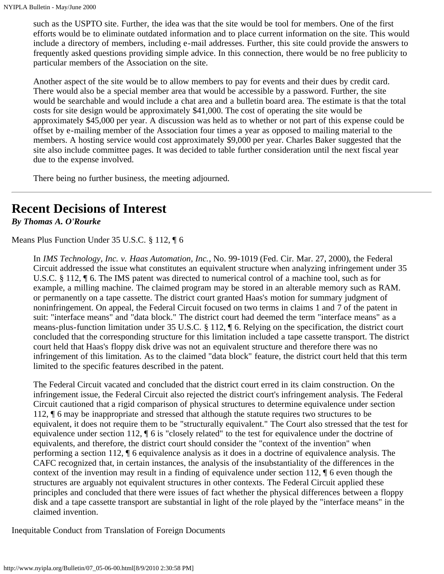such as the USPTO site. Further, the idea was that the site would be tool for members. One of the first efforts would be to eliminate outdated information and to place current information on the site. This would include a directory of members, including e-mail addresses. Further, this site could provide the answers to frequently asked questions providing simple advice. In this connection, there would be no free publicity to particular members of the Association on the site.

Another aspect of the site would be to allow members to pay for events and their dues by credit card. There would also be a special member area that would be accessible by a password. Further, the site would be searchable and would include a chat area and a bulletin board area. The estimate is that the total costs for site design would be approximately \$41,000. The cost of operating the site would be approximately \$45,000 per year. A discussion was held as to whether or not part of this expense could be offset by e-mailing member of the Association four times a year as opposed to mailing material to the members. A hosting service would cost approximately \$9,000 per year. Charles Baker suggested that the site also include committee pages. It was decided to table further consideration until the next fiscal year due to the expense involved.

There being no further business, the meeting adjourned.

## <span id="page-2-0"></span>**Recent Decisions of Interest**

*By Thomas A. O'Rourke*

Means Plus Function Under 35 U.S.C. § 112, ¶ 6

In *IMS Technology, Inc. v. Haas Automation, Inc.*, No. 99-1019 (Fed. Cir. Mar. 27, 2000), the Federal Circuit addressed the issue what constitutes an equivalent structure when analyzing infringement under 35 U.S.C. § 112, ¶ 6. The IMS patent was directed to numerical control of a machine tool, such as for example, a milling machine. The claimed program may be stored in an alterable memory such as RAM. or permanently on a tape cassette. The district court granted Haas's motion for summary judgment of noninfringement. On appeal, the Federal Circuit focused on two terms in claims 1 and 7 of the patent in suit: "interface means" and "data block." The district court had deemed the term "interface means" as a means-plus-function limitation under 35 U.S.C. § 112, ¶ 6. Relying on the specification, the district court concluded that the corresponding structure for this limitation included a tape cassette transport. The district court held that Haas's floppy disk drive was not an equivalent structure and therefore there was no infringement of this limitation. As to the claimed "data block" feature, the district court held that this term limited to the specific features described in the patent.

The Federal Circuit vacated and concluded that the district court erred in its claim construction. On the infringement issue, the Federal Circuit also rejected the district court's infringement analysis. The Federal Circuit cautioned that a rigid comparison of physical structures to determine equivalence under section 112, ¶ 6 may be inappropriate and stressed that although the statute requires two structures to be equivalent, it does not require them to be "structurally equivalent." The Court also stressed that the test for equivalence under section 112, ¶ 6 is "closely related" to the test for equivalence under the doctrine of equivalents, and therefore, the district court should consider the "context of the invention" when performing a section 112, ¶ 6 equivalence analysis as it does in a doctrine of equivalence analysis. The CAFC recognized that, in certain instances, the analysis of the insubstantiality of the differences in the context of the invention may result in a finding of equivalence under section 112, ¶ 6 even though the structures are arguably not equivalent structures in other contexts. The Federal Circuit applied these principles and concluded that there were issues of fact whether the physical differences between a floppy disk and a tape cassette transport are substantial in light of the role played by the "interface means" in the claimed invention.

Inequitable Conduct from Translation of Foreign Documents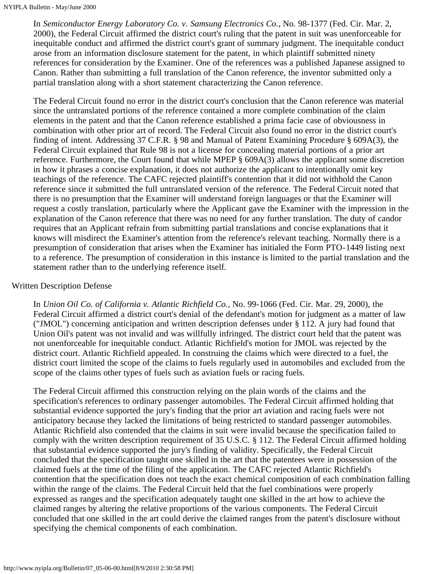In *Semiconductor Energy Laboratory Co. v. Samsung Electronics Co.*, No. 98-1377 (Fed. Cir. Mar. 2, 2000), the Federal Circuit affirmed the district court's ruling that the patent in suit was unenforceable for inequitable conduct and affirmed the district court's grant of summary judgment. The inequitable conduct arose from an information disclosure statement for the patent, in which plaintiff submitted ninety references for consideration by the Examiner. One of the references was a published Japanese assigned to Canon. Rather than submitting a full translation of the Canon reference, the inventor submitted only a partial translation along with a short statement characterizing the Canon reference.

The Federal Circuit found no error in the district court's conclusion that the Canon reference was material since the untranslated portions of the reference contained a more complete combination of the claim elements in the patent and that the Canon reference established a prima facie case of obviousness in combination with other prior art of record. The Federal Circuit also found no error in the district court's finding of intent. Addressing 37 C.F.R. § 98 and Manual of Patent Examining Procedure § 609A(3), the Federal Circuit explained that Rule 98 is not a license for concealing material portions of a prior art reference. Furthermore, the Court found that while MPEP § 609A(3) allows the applicant some discretion in how it phrases a concise explanation, it does not authorize the applicant to intentionally omit key teachings of the reference. The CAFC rejected plaintiff's contention that it did not withhold the Canon reference since it submitted the full untranslated version of the reference. The Federal Circuit noted that there is no presumption that the Examiner will understand foreign languages or that the Examiner will request a costly translation, particularly where the Applicant gave the Examiner with the impression in the explanation of the Canon reference that there was no need for any further translation. The duty of candor requires that an Applicant refrain from submitting partial translations and concise explanations that it knows will misdirect the Examiner's attention from the reference's relevant teaching. Normally there is a presumption of consideration that arises when the Examiner has initialed the Form PTO-1449 listing next to a reference. The presumption of consideration in this instance is limited to the partial translation and the statement rather than to the underlying reference itself.

### Written Description Defense

In *Union Oil Co. of California v. Atlantic Richfield Co.*, No. 99-1066 (Fed. Cir. Mar. 29, 2000), the Federal Circuit affirmed a district court's denial of the defendant's motion for judgment as a matter of law ("JMOL") concerning anticipation and written description defenses under § 112. A jury had found that Union Oil's patent was not invalid and was willfully infringed. The district court held that the patent was not unenforceable for inequitable conduct. Atlantic Richfield's motion for JMOL was rejected by the district court. Atlantic Richfield appealed. In construing the claims which were directed to a fuel, the district court limited the scope of the claims to fuels regularly used in automobiles and excluded from the scope of the claims other types of fuels such as aviation fuels or racing fuels.

The Federal Circuit affirmed this construction relying on the plain words of the claims and the specification's references to ordinary passenger automobiles. The Federal Circuit affirmed holding that substantial evidence supported the jury's finding that the prior art aviation and racing fuels were not anticipatory because they lacked the limitations of being restricted to standard passenger automobiles. Atlantic Richfield also contended that the claims in suit were invalid because the specification failed to comply with the written description requirement of 35 U.S.C. § 112. The Federal Circuit affirmed holding that substantial evidence supported the jury's finding of validity. Specifically, the Federal Circuit concluded that the specification taught one skilled in the art that the patentees were in possession of the claimed fuels at the time of the filing of the application. The CAFC rejected Atlantic Richfield's contention that the specification does not teach the exact chemical composition of each combination falling within the range of the claims. The Federal Circuit held that the fuel combinations were properly expressed as ranges and the specification adequately taught one skilled in the art how to achieve the claimed ranges by altering the relative proportions of the various components. The Federal Circuit concluded that one skilled in the art could derive the claimed ranges from the patent's disclosure without specifying the chemical components of each combination.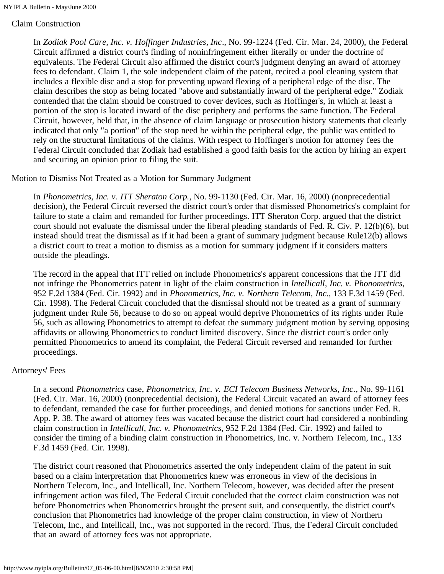### Claim Construction

In *Zodiak Pool Care, Inc. v. Hoffinger Industries, Inc*., No. 99-1224 (Fed. Cir. Mar. 24, 2000), the Federal Circuit affirmed a district court's finding of noninfringement either literally or under the doctrine of equivalents. The Federal Circuit also affirmed the district court's judgment denying an award of attorney fees to defendant. Claim 1, the sole independent claim of the patent, recited a pool cleaning system that includes a flexible disc and a stop for preventing upward flexing of a peripheral edge of the disc. The claim describes the stop as being located "above and substantially inward of the peripheral edge." Zodiak contended that the claim should be construed to cover devices, such as Hoffinger's, in which at least a portion of the stop is located inward of the disc periphery and performs the same function. The Federal Circuit, however, held that, in the absence of claim language or prosecution history statements that clearly indicated that only "a portion" of the stop need be within the peripheral edge, the public was entitled to rely on the structural limitations of the claims. With respect to Hoffinger's motion for attorney fees the Federal Circuit concluded that Zodiak had established a good faith basis for the action by hiring an expert and securing an opinion prior to filing the suit.

#### Motion to Dismiss Not Treated as a Motion for Summary Judgment

In *Phonometrics, Inc. v. ITT Sheraton Corp.*, No. 99-1130 (Fed. Cir. Mar. 16, 2000) (nonprecedential decision), the Federal Circuit reversed the district court's order that dismissed Phonometrics's complaint for failure to state a claim and remanded for further proceedings. ITT Sheraton Corp. argued that the district court should not evaluate the dismissal under the liberal pleading standards of Fed. R. Civ. P. 12(b)(6), but instead should treat the dismissal as if it had been a grant of summary judgment because Rule12(b) allows a district court to treat a motion to dismiss as a motion for summary judgment if it considers matters outside the pleadings.

The record in the appeal that ITT relied on include Phonometrics's apparent concessions that the ITT did not infringe the Phonometrics patent in light of the claim construction in *Intellicall, Inc. v. Phonometrics*, 952 F.2d 1384 (Fed. Cir. 1992) and in *Phonometrics, Inc. v. Northern Telecom, Inc.,* 133 F.3d 1459 (Fed. Cir. 1998). The Federal Circuit concluded that the dismissal should not be treated as a grant of summary judgment under Rule 56, because to do so on appeal would deprive Phonometrics of its rights under Rule 56, such as allowing Phonometrics to attempt to defeat the summary judgment motion by serving opposing affidavits or allowing Phonometrics to conduct limited discovery. Since the district court's order only permitted Phonometrics to amend its complaint, the Federal Circuit reversed and remanded for further proceedings.

#### Attorneys' Fees

In a second *Phonometrics* case, *Phonometrics, Inc. v. ECI Telecom Business Networks, Inc*., No. 99-1161 (Fed. Cir. Mar. 16, 2000) (nonprecedential decision), the Federal Circuit vacated an award of attorney fees to defendant, remanded the case for further proceedings, and denied motions for sanctions under Fed. R. App. P. 38. The award of attorney fees was vacated because the district court had considered a nonbinding claim construction in *Intellicall, Inc. v. Phonometrics,* 952 F.2d 1384 (Fed. Cir. 1992) and failed to consider the timing of a binding claim construction in Phonometrics, Inc. v. Northern Telecom, Inc., 133 F.3d 1459 (Fed. Cir. 1998).

The district court reasoned that Phonometrics asserted the only independent claim of the patent in suit based on a claim interpretation that Phonometrics knew was erroneous in view of the decisions in Northern Telecom, Inc., and Intellicall, Inc. Northern Telecom, however, was decided after the present infringement action was filed, The Federal Circuit concluded that the correct claim construction was not before Phonometrics when Phonometrics brought the present suit, and consequently, the district court's conclusion that Phonometrics had knowledge of the proper claim construction, in view of Northern Telecom, Inc., and Intellicall, Inc., was not supported in the record. Thus, the Federal Circuit concluded that an award of attorney fees was not appropriate.